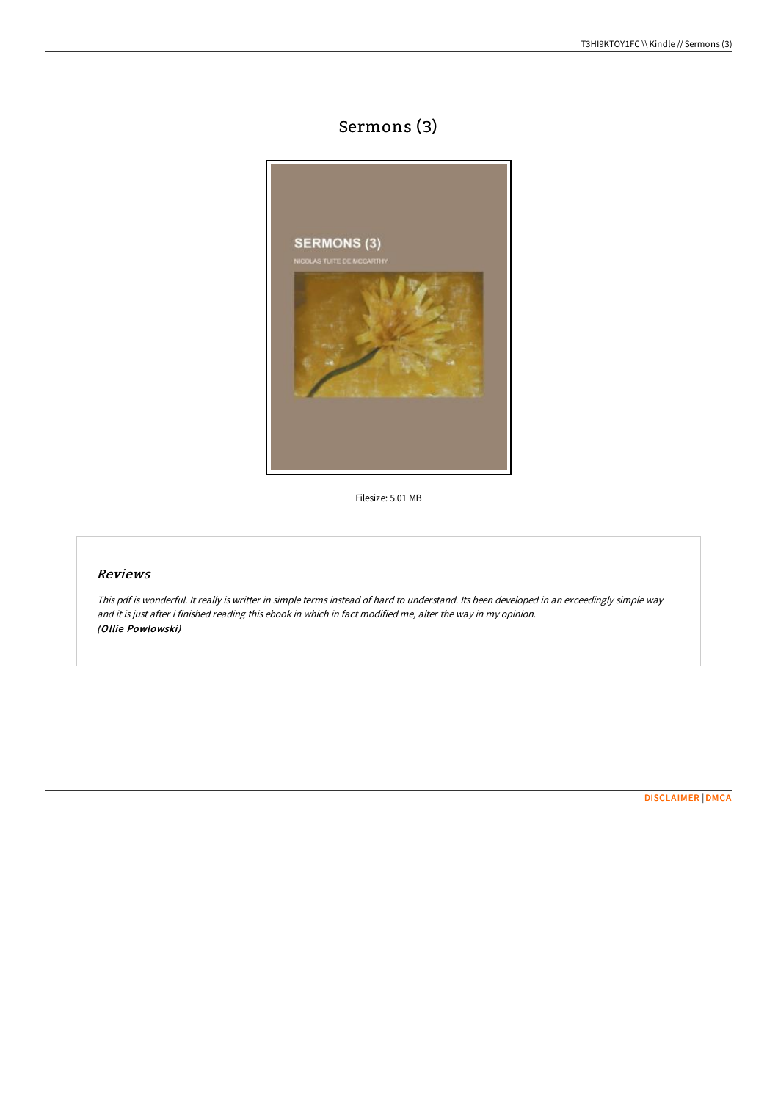# Sermons (3)



Filesize: 5.01 MB

## Reviews

This pdf is wonderful. It really is writter in simple terms instead of hard to understand. Its been developed in an exceedingly simple way and it is just after i finished reading this ebook in which in fact modified me, alter the way in my opinion. (Ollie Powlowski)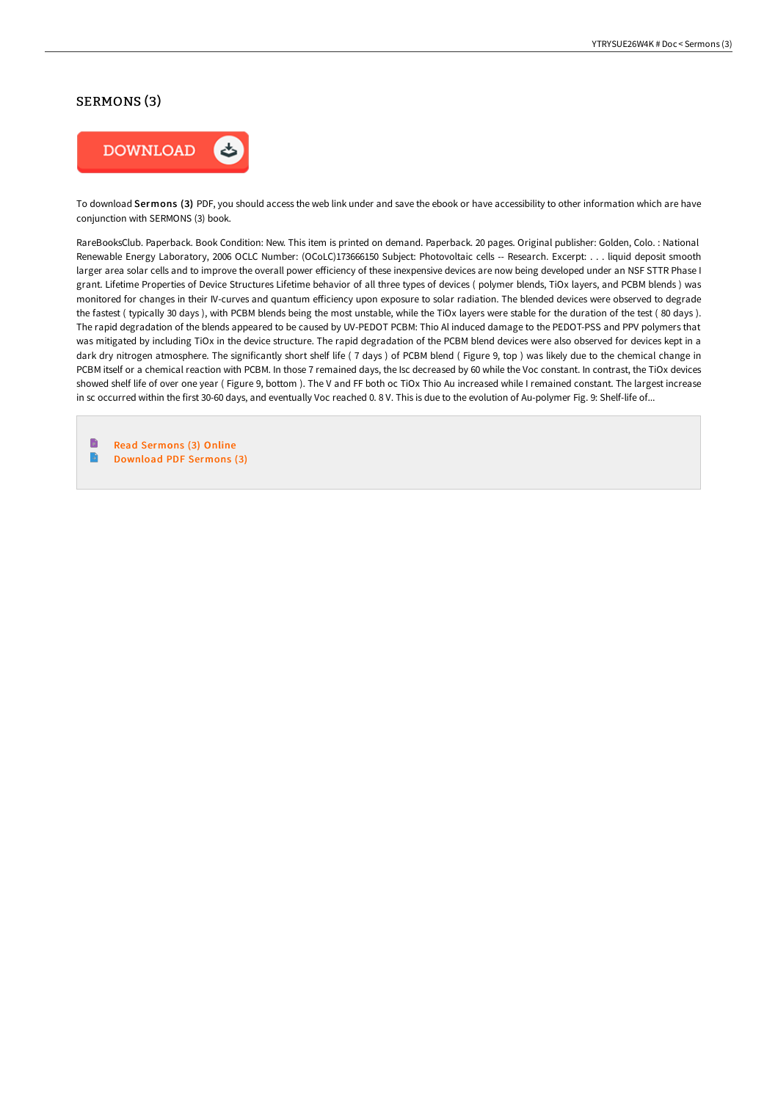## SERMONS (3)



To download Sermons (3) PDF, you should access the web link under and save the ebook or have accessibility to other information which are have conjunction with SERMONS (3) book.

RareBooksClub. Paperback. Book Condition: New. This item is printed on demand. Paperback. 20 pages. Original publisher: Golden, Colo. : National Renewable Energy Laboratory, 2006 OCLC Number: (OCoLC)173666150 Subject: Photovoltaic cells -- Research. Excerpt: . . . liquid deposit smooth larger area solar cells and to improve the overall power efficiency of these inexpensive devices are now being developed under an NSF STTR Phase I grant. Lifetime Properties of Device Structures Lifetime behavior of all three types of devices ( polymer blends, TiOx layers, and PCBM blends ) was monitored for changes in their IV-curves and quantum efficiency upon exposure to solar radiation. The blended devices were observed to degrade the fastest ( typically 30 days ), with PCBM blends being the most unstable, while the TiOx layers were stable for the duration of the test ( 80 days ). The rapid degradation of the blends appeared to be caused by UV-PEDOT PCBM: Thio Al induced damage to the PEDOT-PSS and PPV polymers that was mitigated by including TiOx in the device structure. The rapid degradation of the PCBM blend devices were also observed for devices kept in a dark dry nitrogen atmosphere. The significantly short shelf life ( 7 days ) of PCBM blend ( Figure 9, top ) was likely due to the chemical change in PCBM itself or a chemical reaction with PCBM. In those 7 remained days, the Isc decreased by 60 while the Voc constant. In contrast, the TiOx devices showed shelf life of over one year ( Figure 9, bottom ). The V and FF both oc TiOx Thio Au increased while I remained constant. The largest increase in sc occurred within the first 30-60 days, and eventually Voc reached 0. 8 V. This is due to the evolution of Au-polymer Fig. 9: Shelf-life of...

B Read [Sermons](http://techno-pub.tech/sermons-3.html) (3) Online  $\rightarrow$ [Download](http://techno-pub.tech/sermons-3.html) PDF Sermons (3)